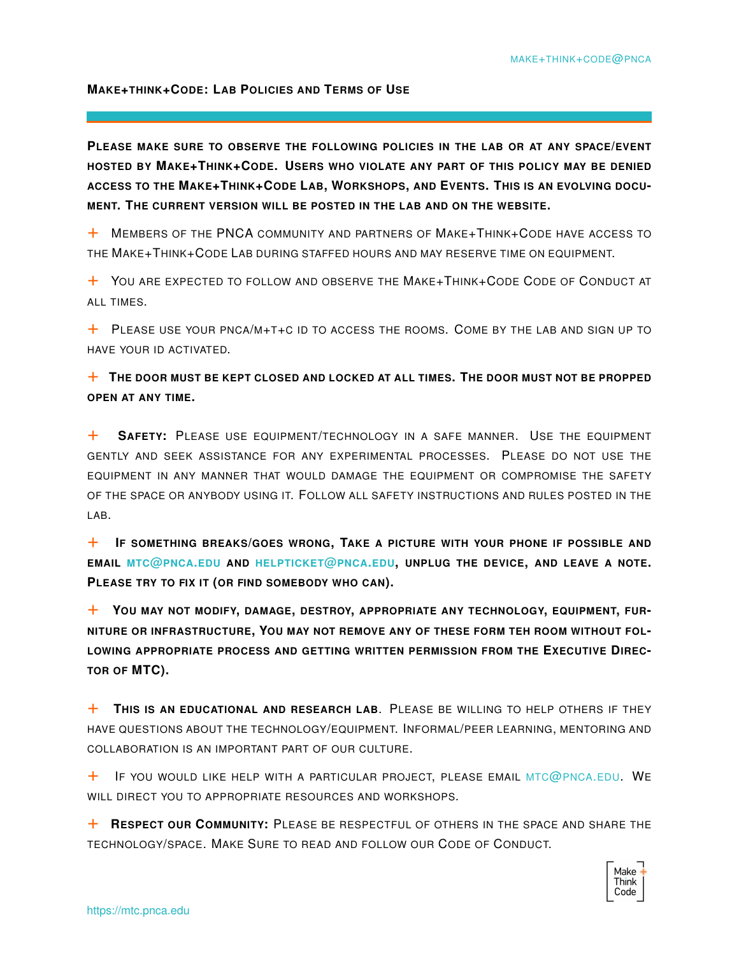## **MAKE+THINK+CODE: LAB POLICIES AND TERMS OF USE**

**PLEASE MAKE SURE TO OBSERVE THE FOLLOWING POLICIES IN THE LAB OR AT ANY SPACE/EVENT HOSTED BY MAKE+THINK+CODE. USERS WHO VIOLATE ANY PART OF THIS POLICY MAY BE DENIED ACCESS TO THE MAKE+THINK+CODE LAB, WORKSHOPS, AND EVENTS. THIS IS AN EVOLVING DOCU-MENT. THE CURRENT VERSION WILL BE POSTED IN THE LAB AND ON THE WEBSITE.**

+ <sup>M</sup>EMBERS OF THE PNCA COMMUNITY AND PARTNERS OF <sup>M</sup>AKE+THINK+CODE HAVE ACCESS TO THE MAKE+THINK+CODE LAB DURING STAFFED HOURS AND MAY RESERVE TIME ON EQUIPMENT.

+ <sup>Y</sup>OU ARE EXPECTED TO FOLLOW AND OBSERVE THE <sup>M</sup>AKE+THINK+CODE <sup>C</sup>ODE OF <sup>C</sup>ONDUCT AT ALL TIMES.

 $+$  PLEASE USE YOUR PNCA/M+T+C ID TO ACCESS THE ROOMS. COME BY THE LAB AND SIGN UP TO HAVE YOUR ID ACTIVATED.

+ **<sup>T</sup>HE DOOR MUST BE KEPT CLOSED AND LOCKED AT ALL TIMES. THE DOOR MUST NOT BE PROPPED OPEN AT ANY TIME.**

+ **<sup>S</sup>AFETY:** <sup>P</sup>LEASE USE EQUIPMENT/TECHNOLOGY IN A SAFE MANNER. USE THE EQUIPMENT GENTLY AND SEEK ASSISTANCE FOR ANY EXPERIMENTAL PROCESSES. PLEASE DO NOT USE THE EQUIPMENT IN ANY MANNER THAT WOULD DAMAGE THE EQUIPMENT OR COMPROMISE THE SAFETY OF THE SPACE OR ANYBODY USING IT. FOLLOW ALL SAFETY INSTRUCTIONS AND RULES POSTED IN THE LAB.

+ **<sup>I</sup>F SOMETHING BREAKS/GOES WRONG, TAKE A PICTURE WITH YOUR PHONE IF POSSIBLE AND EMAIL MTC@PNCA.EDU AND HELPTICKET@PNCA.EDU, UNPLUG THE DEVICE, AND LEAVE A NOTE. PLEASE TRY TO FIX IT (OR FIND SOMEBODY WHO CAN).**

+ **<sup>Y</sup>OU MAY NOT MODIFY, DAMAGE, DESTROY, APPROPRIATE ANY TECHNOLOGY, EQUIPMENT, FUR-NITURE OR INFRASTRUCTURE, YOU MAY NOT REMOVE ANY OF THESE FORM TEH ROOM WITHOUT FOL-LOWING APPROPRIATE PROCESS AND GETTING WRITTEN PERMISSION FROM THE EXECUTIVE DIREC-TOR OF MTC).**

+ **<sup>T</sup>HIS IS AN EDUCATIONAL AND RESEARCH LAB**. PLEASE BE WILLING TO HELP OTHERS IF THEY HAVE QUESTIONS ABOUT THE TECHNOLOGY/EQUIPMENT. INFORMAL/PEER LEARNING, MENTORING AND COLLABORATION IS AN IMPORTANT PART OF OUR CULTURE.

 $+$  IF YOU WOULD LIKE HELP WITH A PARTICULAR PROJECT, PLEASE EMAIL MTC@PNCA.EDU. WE WILL DIRECT YOU TO APPROPRIATE RESOURCES AND WORKSHOPS.

+ **<sup>R</sup>ESPECT OUR <sup>C</sup>OMMUNITY:** <sup>P</sup>LEASE BE RESPECTFUL OF OTHERS IN THE SPACE AND SHARE THE TECHNOLOGY/SPACE. MAKE SURE TO READ AND FOLLOW OUR CODE OF CONDUCT.